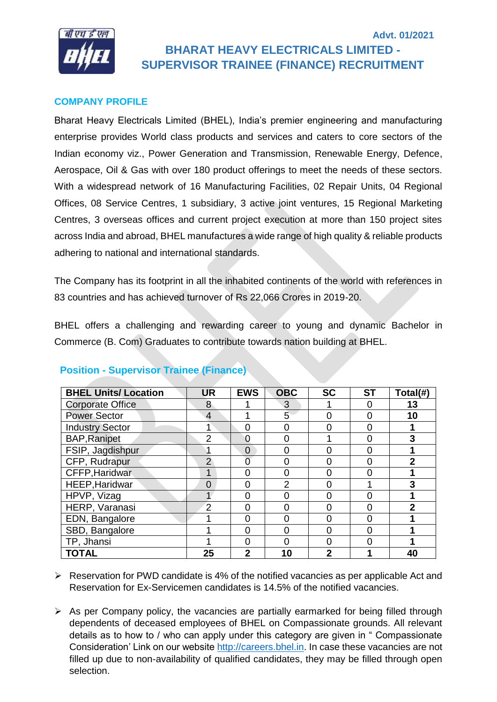

# **Advt. 01/2021 BHARAT HEAVY ELECTRICALS LIMITED - SUPERVISOR TRAINEE (FINANCE) RECRUITMENT**

## **COMPANY PROFILE**

Bharat Heavy Electricals Limited (BHEL), India's premier engineering and manufacturing enterprise provides World class products and services and caters to core sectors of the Indian economy viz., Power Generation and Transmission, Renewable Energy, Defence, Aerospace, Oil & Gas with over 180 product offerings to meet the needs of these sectors. With a widespread network of 16 Manufacturing Facilities, 02 Repair Units, 04 Regional Offices, 08 Service Centres, 1 subsidiary, 3 active joint ventures, 15 Regional Marketing Centres, 3 overseas offices and current project execution at more than 150 project sites across India and abroad, BHEL manufactures a wide range of high quality & reliable products adhering to national and international standards.

The Company has its footprint in all the inhabited continents of the world with references in 83 countries and has achieved turnover of Rs 22,066 Crores in 2019-20.

BHEL offers a challenging and rewarding career to young and dynamic Bachelor in Commerce (B. Com) Graduates to contribute towards nation building at BHEL.

| <b>BHEL Units/Location</b> | <b>UR</b>      | <b>EWS</b>   | <b>OBC</b>       | <b>SC</b>      | <b>ST</b> | Total(#) |
|----------------------------|----------------|--------------|------------------|----------------|-----------|----------|
| <b>Corporate Office</b>    | 8              |              | 3                |                |           | 13       |
| <b>Power Sector</b>        | 4              |              | $\overline{5}$   | O              |           | 10       |
| <b>Industry Sector</b>     |                | 0            | 0                | O              |           |          |
| <b>BAP, Ranipet</b>        | 2              | 0            | ∩                |                |           | 3        |
| FSIP, Jagdishpur           |                | $\Omega$     | ∩                |                |           |          |
| CFP, Rudrapur              | $\overline{2}$ |              |                  | O              |           | 2        |
| CFFP, Haridwar             |                | O            | $\left( \right)$ |                |           |          |
| HEEP, Haridwar             | $\Omega$       | 0            | 2                |                |           |          |
| HPVP, Vizag                |                | 0            | $\mathcal{L}$    | 0              |           |          |
| HERP, Varanasi             | $\overline{2}$ | 0            | ∩                | ∩              |           | 2        |
| EDN, Bangalore             |                | 0            | O                | O              | በ         |          |
| SBD, Bangalore             |                | ი            |                  | ∩              |           |          |
| TP, Jhansi                 |                | O            |                  | O              |           |          |
| <b>TOTAL</b>               | 25             | $\mathbf{2}$ | 10               | $\overline{2}$ |           | 40       |

## **Position - Supervisor Trainee (Finance)**

- ➢ Reservation for PWD candidate is 4% of the notified vacancies as per applicable Act and Reservation for Ex-Servicemen candidates is 14.5% of the notified vacancies.
- $\triangleright$  As per Company policy, the vacancies are partially earmarked for being filled through dependents of deceased employees of BHEL on Compassionate grounds. All relevant details as to how to / who can apply under this category are given in " Compassionate Consideration' Link on our website [http://careers.bhel.in.](http://careers.bhel.in/) In case these vacancies are not filled up due to non-availability of qualified candidates, they may be filled through open selection.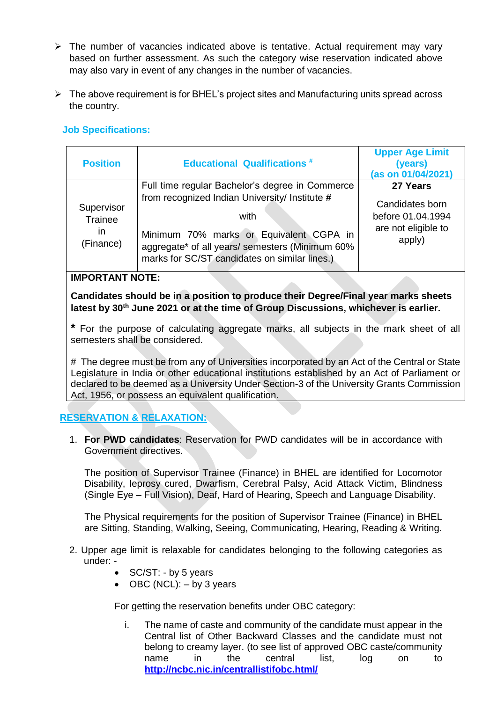- ➢ The number of vacancies indicated above is tentative. Actual requirement may vary based on further assessment. As such the category wise reservation indicated above may also vary in event of any changes in the number of vacancies.
- ➢ The above requirement is for BHEL's project sites and Manufacturing units spread across the country.

# **Job Specifications:**

| <b>Position</b>                                 | <b>Educational Qualifications #</b>                                                                                                                                                                   | <b>Upper Age Limit</b><br>(years)<br>(as on 01/04/2021)               |
|-------------------------------------------------|-------------------------------------------------------------------------------------------------------------------------------------------------------------------------------------------------------|-----------------------------------------------------------------------|
|                                                 | Full time regular Bachelor's degree in Commerce                                                                                                                                                       | 27 Years                                                              |
| Supervisor<br>Trainee<br><i>in</i><br>(Finance) | from recognized Indian University/ Institute #<br>with<br>Minimum 70% marks or Equivalent CGPA in<br>aggregate* of all years/ semesters (Minimum 60%<br>marks for SC/ST candidates on similar lines.) | Candidates born<br>before 01.04.1994<br>are not eligible to<br>apply) |

## **IMPORTANT NOTE:**

**Candidates should be in a position to produce their Degree/Final year marks sheets latest by 30th June 2021 or at the time of Group Discussions, whichever is earlier.**

**\*** For the purpose of calculating aggregate marks, all subjects in the mark sheet of all semesters shall be considered.

**#** The degree must be from any of Universities incorporated by an Act of the Central or State Legislature in India or other educational institutions established by an Act of Parliament or declared to be deemed as a University Under Section-3 of the University Grants Commission Act, 1956, or possess an equivalent qualification.

## **RESERVATION & RELAXATION:**

1. **For PWD candidates**: Reservation for PWD candidates will be in accordance with Government directives.

The position of Supervisor Trainee (Finance) in BHEL are identified for Locomotor Disability, leprosy cured, Dwarfism, Cerebral Palsy, Acid Attack Victim, Blindness (Single Eye – Full Vision), Deaf, Hard of Hearing, Speech and Language Disability.

The Physical requirements for the position of Supervisor Trainee (Finance) in BHEL are Sitting, Standing, Walking, Seeing, Communicating, Hearing, Reading & Writing.

- 2. Upper age limit is relaxable for candidates belonging to the following categories as under: -
	- SC/ST: by 5 years
	- OBC (NCL):  $-$  by 3 years

For getting the reservation benefits under OBC category:

i. The name of caste and community of the candidate must appear in the Central list of Other Backward Classes and the candidate must not belong to creamy layer. (to see list of approved OBC caste/community name in the central list, log on to **<http://ncbc.nic.in/centrallistifobc.html/>**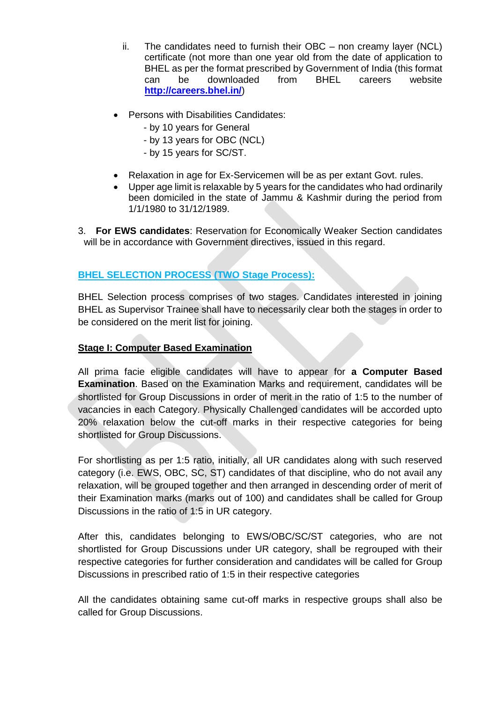- ii. The candidates need to furnish their OBC non creamy layer (NCL) certificate (not more than one year old from the date of application to BHEL as per the format prescribed by Government of India (this format can be downloaded from BHEL careers website **<http://careers.bhel.in/>**)
- Persons with Disabilities Candidates:
	- by 10 years for General
	- by 13 years for OBC (NCL)
	- by 15 years for SC/ST.
- Relaxation in age for Ex-Servicemen will be as per extant Govt. rules.
- Upper age limit is relaxable by 5 years for the candidates who had ordinarily been domiciled in the state of Jammu & Kashmir during the period from 1/1/1980 to 31/12/1989.

3. **For EWS candidates**: Reservation for Economically Weaker Section candidates will be in accordance with Government directives, issued in this regard.

# **BHEL SELECTION PROCESS (TWO Stage Process):**

BHEL Selection process comprises of two stages. Candidates interested in joining BHEL as Supervisor Trainee shall have to necessarily clear both the stages in order to be considered on the merit list for joining.

#### **Stage I: Computer Based Examination**

All prima facie eligible candidates will have to appear for **a Computer Based Examination**. Based on the Examination Marks and requirement, candidates will be shortlisted for Group Discussions in order of merit in the ratio of 1:5 to the number of vacancies in each Category. Physically Challenged candidates will be accorded upto 20% relaxation below the cut-off marks in their respective categories for being shortlisted for Group Discussions.

For shortlisting as per 1:5 ratio, initially, all UR candidates along with such reserved category (i.e. EWS, OBC, SC, ST) candidates of that discipline, who do not avail any relaxation, will be grouped together and then arranged in descending order of merit of their Examination marks (marks out of 100) and candidates shall be called for Group Discussions in the ratio of 1:5 in UR category.

After this, candidates belonging to EWS/OBC/SC/ST categories, who are not shortlisted for Group Discussions under UR category, shall be regrouped with their respective categories for further consideration and candidates will be called for Group Discussions in prescribed ratio of 1:5 in their respective categories

All the candidates obtaining same cut-off marks in respective groups shall also be called for Group Discussions.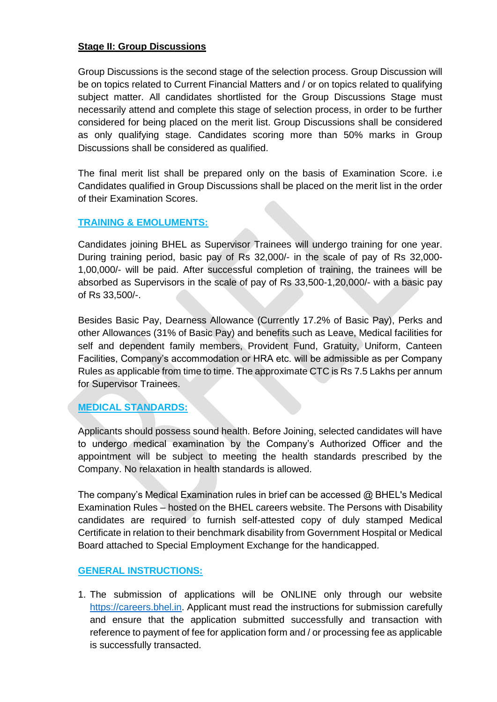## **Stage II: Group Discussions**

Group Discussions is the second stage of the selection process. Group Discussion will be on topics related to Current Financial Matters and / or on topics related to qualifying subject matter. All candidates shortlisted for the Group Discussions Stage must necessarily attend and complete this stage of selection process, in order to be further considered for being placed on the merit list. Group Discussions shall be considered as only qualifying stage. Candidates scoring more than 50% marks in Group Discussions shall be considered as qualified.

The final merit list shall be prepared only on the basis of Examination Score. i.e Candidates qualified in Group Discussions shall be placed on the merit list in the order of their Examination Scores.

# **TRAINING & EMOLUMENTS:**

Candidates joining BHEL as Supervisor Trainees will undergo training for one year. During training period, basic pay of Rs 32,000/- in the scale of pay of Rs 32,000- 1,00,000/- will be paid. After successful completion of training, the trainees will be absorbed as Supervisors in the scale of pay of Rs 33,500-1,20,000/- with a basic pay of Rs 33,500/-.

Besides Basic Pay, Dearness Allowance (Currently 17.2% of Basic Pay), Perks and other Allowances (31% of Basic Pay) and benefits such as Leave, Medical facilities for self and dependent family members, Provident Fund, Gratuity, Uniform, Canteen Facilities, Company's accommodation or HRA etc. will be admissible as per Company Rules as applicable from time to time. The approximate CTC is Rs 7.5 Lakhs per annum for Supervisor Trainees.

# **MEDICAL STANDARDS:**

Applicants should possess sound health. Before Joining, selected candidates will have to undergo medical examination by the Company's Authorized Officer and the appointment will be subject to meeting the health standards prescribed by the Company. No relaxation in health standards is allowed.

The company's Medical Examination rules in brief can be accessed @ BHEL's Medical Examination Rules – hosted on the BHEL careers website. The Persons with Disability candidates are required to furnish self-attested copy of duly stamped Medical Certificate in relation to their benchmark disability from Government Hospital or Medical Board attached to Special Employment Exchange for the handicapped.

## **GENERAL INSTRUCTIONS:**

1. The submission of applications will be ONLINE only through our website [https://careers.bhel.in.](https://careers.bhel.in/) Applicant must read the instructions for submission carefully and ensure that the application submitted successfully and transaction with reference to payment of fee for application form and / or processing fee as applicable is successfully transacted.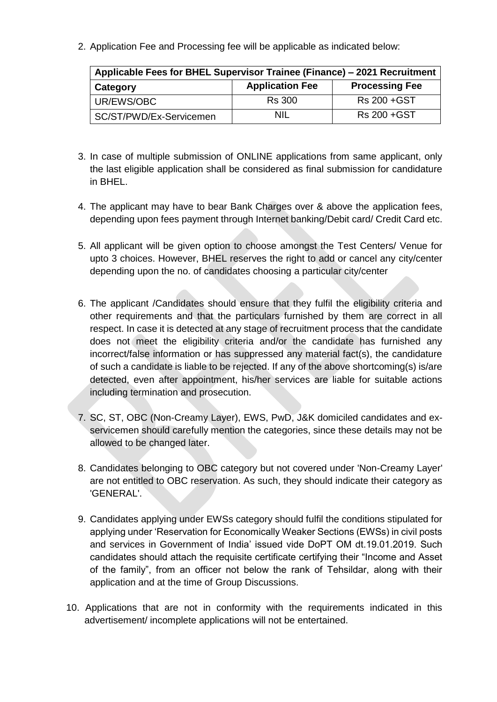2. Application Fee and Processing fee will be applicable as indicated below:

| Applicable Fees for BHEL Supervisor Trainee (Finance) – 2021 Recruitment |                        |                       |  |  |  |
|--------------------------------------------------------------------------|------------------------|-----------------------|--|--|--|
| <b>Category</b>                                                          | <b>Application Fee</b> | <b>Processing Fee</b> |  |  |  |
| UR/EWS/OBC                                                               | <b>Rs</b> 300          | Rs 200 + GST          |  |  |  |
| SC/ST/PWD/Ex-Servicemen                                                  | NIL                    | Rs 200 + GST          |  |  |  |

- 3. In case of multiple submission of ONLINE applications from same applicant, only the last eligible application shall be considered as final submission for candidature in BHEL.
- 4. The applicant may have to bear Bank Charges over & above the application fees, depending upon fees payment through Internet banking/Debit card/ Credit Card etc.
- 5. All applicant will be given option to choose amongst the Test Centers/ Venue for upto 3 choices. However, BHEL reserves the right to add or cancel any city/center depending upon the no. of candidates choosing a particular city/center
- 6. The applicant /Candidates should ensure that they fulfil the eligibility criteria and other requirements and that the particulars furnished by them are correct in all respect. In case it is detected at any stage of recruitment process that the candidate does not meet the eligibility criteria and/or the candidate has furnished any incorrect/false information or has suppressed any material fact(s), the candidature of such a candidate is liable to be rejected. If any of the above shortcoming(s) is/are detected, even after appointment, his/her services are liable for suitable actions including termination and prosecution.
- 7. SC, ST, OBC (Non-Creamy Layer), EWS, PwD, J&K domiciled candidates and exservicemen should carefully mention the categories, since these details may not be allowed to be changed later.
- 8. Candidates belonging to OBC category but not covered under 'Non-Creamy Layer' are not entitled to OBC reservation. As such, they should indicate their category as 'GENERAL'.
- 9. Candidates applying under EWSs category should fulfil the conditions stipulated for applying under 'Reservation for Economically Weaker Sections (EWSs) in civil posts and services in Government of India' issued vide DoPT OM dt.19.01.2019. Such candidates should attach the requisite certificate certifying their "Income and Asset of the family", from an officer not below the rank of Tehsildar, along with their application and at the time of Group Discussions.
- 10. Applications that are not in conformity with the requirements indicated in this advertisement/ incomplete applications will not be entertained.